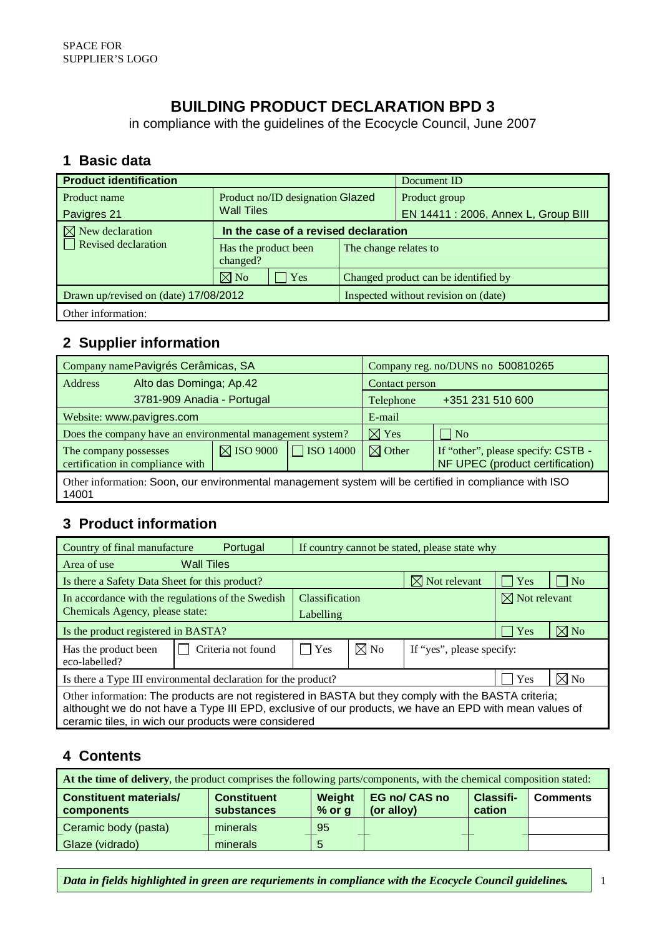# **BUILDING PRODUCT DECLARATION BPD 3**

in compliance with the guidelines of the Ecocycle Council, June 2007

#### **1 Basic data**

| <b>Product identification</b>         |                                                       | Document ID                          |                                      |  |  |
|---------------------------------------|-------------------------------------------------------|--------------------------------------|--------------------------------------|--|--|
| Product name                          | Product no/ID designation Glazed<br><b>Wall Tiles</b> |                                      | Product group                        |  |  |
| Pavigres 21                           |                                                       |                                      | EN 14411 : 2006, Annex L, Group BIII |  |  |
| $\boxtimes$ New declaration           | In the case of a revised declaration                  |                                      |                                      |  |  |
| $\Box$ Revised declaration            | Has the product been<br>changed?                      |                                      | The change relates to                |  |  |
|                                       | $\boxtimes$ No<br>Yes                                 |                                      | Changed product can be identified by |  |  |
| Drawn up/revised on (date) 17/08/2012 |                                                       | Inspected without revision on (date) |                                      |  |  |
| Other information:                    |                                                       |                                      |                                      |  |  |

# **2 Supplier information**

| Company name Pavigrés Cerâmicas, SA                                                                            |                                                           |                      | Company reg. no/DUNS no 500810265 |                               |                                                                       |  |
|----------------------------------------------------------------------------------------------------------------|-----------------------------------------------------------|----------------------|-----------------------------------|-------------------------------|-----------------------------------------------------------------------|--|
| Address                                                                                                        | Alto das Dominga; Ap.42                                   |                      |                                   | Contact person                |                                                                       |  |
|                                                                                                                | 3781-909 Anadia - Portugal                                |                      |                                   | +351 231 510 600<br>Telephone |                                                                       |  |
| Website: www.pavigres.com                                                                                      |                                                           |                      | E-mail                            |                               |                                                                       |  |
|                                                                                                                | Does the company have an environmental management system? |                      |                                   | $\boxtimes$ Yes               | $\vert$ No                                                            |  |
| The company possesses<br>certification in compliance with                                                      |                                                           | $\boxtimes$ ISO 9000 | $\Box$ ISO 14000                  | $\boxtimes$ Other             | If "other", please specify: CSTB -<br>NF UPEC (product certification) |  |
| Other information: Soon, our environmental management system will be certified in compliance with ISO<br>14001 |                                                           |                      |                                   |                               |                                                                       |  |

## **3 Product information**

| Country of final manufacture<br>Portugal                                                                                                                                                                                                                              | If country cannot be stated, please state why |                |                           |                          |                |  |  |
|-----------------------------------------------------------------------------------------------------------------------------------------------------------------------------------------------------------------------------------------------------------------------|-----------------------------------------------|----------------|---------------------------|--------------------------|----------------|--|--|
| <b>Wall Tiles</b><br>Area of use                                                                                                                                                                                                                                      |                                               |                |                           |                          |                |  |  |
| Is there a Safety Data Sheet for this product?                                                                                                                                                                                                                        |                                               |                | $\boxtimes$ Not relevant  | Yes                      | N <sub>o</sub> |  |  |
| In accordance with the regulations of the Swedish                                                                                                                                                                                                                     | <b>Classification</b>                         |                |                           | $\boxtimes$ Not relevant |                |  |  |
| Chemicals Agency, please state:                                                                                                                                                                                                                                       | Labelling                                     |                |                           |                          |                |  |  |
| Is the product registered in BASTA?                                                                                                                                                                                                                                   |                                               |                |                           | Yes                      | $\boxtimes$ No |  |  |
| Criteria not found<br>Has the product been<br>eco-labelled?                                                                                                                                                                                                           | Yes                                           | $\boxtimes$ No | If "yes", please specify: |                          |                |  |  |
| Is there a Type III environmental declaration for the product?                                                                                                                                                                                                        |                                               |                |                           |                          | $\boxtimes$ No |  |  |
| Other information: The products are not registered in BASTA but they comply with the BASTA criteria;<br>althought we do not have a Type III EPD, exclusive of our products, we have an EPD with mean values of<br>ceramic tiles, in wich our products were considered |                                               |                |                           |                          |                |  |  |

#### **4 Contents**

| At the time of delivery, the product comprises the following parts/components, with the chemical composition stated: |                                  |                           |                                    |                            |                 |  |  |
|----------------------------------------------------------------------------------------------------------------------|----------------------------------|---------------------------|------------------------------------|----------------------------|-----------------|--|--|
| <b>Constituent materials/</b><br>components                                                                          | <b>Constituent</b><br>substances | <b>Weight</b><br>$%$ or g | <b>EG no/ CAS no</b><br>(or alloy) | <b>Classifi-</b><br>cation | <b>Comments</b> |  |  |
| Ceramic body (pasta)                                                                                                 | minerals                         | 95                        |                                    |                            |                 |  |  |
| Glaze (vidrado)                                                                                                      | minerals                         |                           |                                    |                            |                 |  |  |

*Data in fields highlighted in green are requriements in compliance with the Ecocycle Council guidelines.* | 1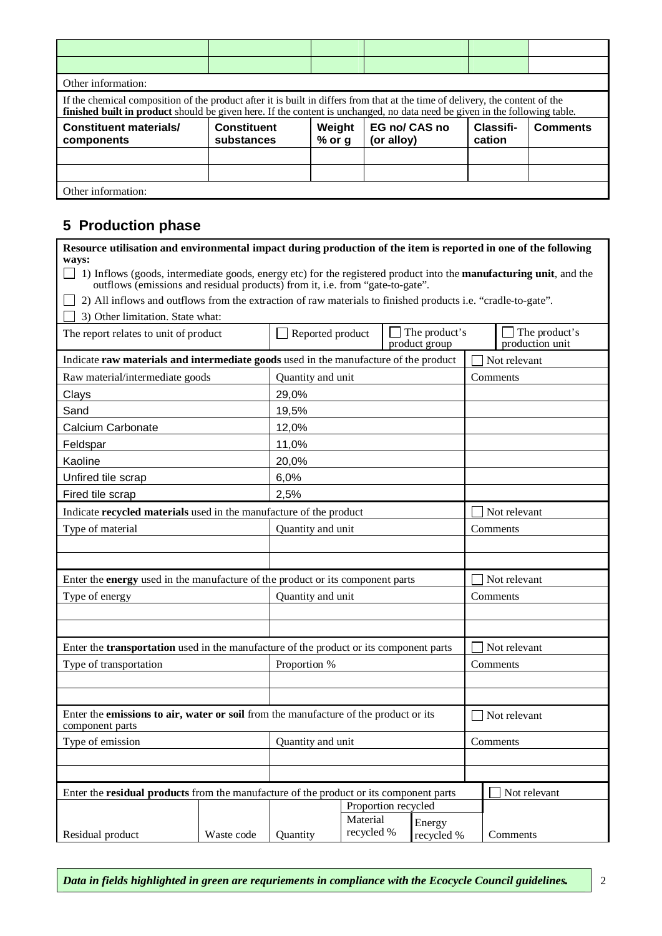| Other information:                                                                                                                                                                                                                                          |                                  |                    |                             |                     |                 |  |  |  |  |
|-------------------------------------------------------------------------------------------------------------------------------------------------------------------------------------------------------------------------------------------------------------|----------------------------------|--------------------|-----------------------------|---------------------|-----------------|--|--|--|--|
| If the chemical composition of the product after it is built in differs from that at the time of delivery, the content of the<br>finished built in product should be given here. If the content is unchanged, no data need be given in the following table. |                                  |                    |                             |                     |                 |  |  |  |  |
| <b>Constituent materials/</b><br>components                                                                                                                                                                                                                 | <b>Constituent</b><br>substances | Weight<br>$%$ or g | EG no/ CAS no<br>(or alloy) | Classifi-<br>cation | <b>Comments</b> |  |  |  |  |
|                                                                                                                                                                                                                                                             |                                  |                    |                             |                     |                 |  |  |  |  |
|                                                                                                                                                                                                                                                             |                                  |                    |                             |                     |                 |  |  |  |  |
| Other information:                                                                                                                                                                                                                                          |                                  |                    |                             |                     |                 |  |  |  |  |

### **5 Production phase**

| Resource utilisation and environmental impact during production of the item is reported in one of the following                                                                                                      |            |                         |                        |  |                      |                 |
|----------------------------------------------------------------------------------------------------------------------------------------------------------------------------------------------------------------------|------------|-------------------------|------------------------|--|----------------------|-----------------|
| ways:<br>1) Inflows (goods, intermediate goods, energy etc) for the registered product into the <b>manufacturing unit</b> , and the<br>outflows (emissions and residual products) from it, i.e. from "gate-to-gate". |            |                         |                        |  |                      |                 |
| 2) All inflows and outflows from the extraction of raw materials to finished products i.e. "cradle-to-gate".                                                                                                         |            |                         |                        |  |                      |                 |
| 3) Other limitation. State what:                                                                                                                                                                                     |            |                         |                        |  |                      |                 |
| The report relates to unit of product                                                                                                                                                                                |            | $\Box$ Reported product |                        |  | The product's        | The product's   |
|                                                                                                                                                                                                                      |            |                         |                        |  | product group        | production unit |
| Indicate raw materials and intermediate goods used in the manufacture of the product                                                                                                                                 |            |                         |                        |  |                      | Not relevant    |
| Raw material/intermediate goods                                                                                                                                                                                      |            | Quantity and unit       |                        |  |                      | Comments        |
| Clays                                                                                                                                                                                                                |            | 29,0%                   |                        |  |                      |                 |
| Sand                                                                                                                                                                                                                 |            | 19,5%                   |                        |  |                      |                 |
| Calcium Carbonate                                                                                                                                                                                                    |            | 12,0%                   |                        |  |                      |                 |
| Feldspar                                                                                                                                                                                                             |            | 11,0%                   |                        |  |                      |                 |
| Kaoline                                                                                                                                                                                                              |            | 20,0%                   |                        |  |                      |                 |
| Unfired tile scrap                                                                                                                                                                                                   |            | 6,0%                    |                        |  |                      |                 |
| Fired tile scrap                                                                                                                                                                                                     |            | 2,5%                    |                        |  |                      |                 |
| Indicate recycled materials used in the manufacture of the product                                                                                                                                                   |            |                         |                        |  |                      | Not relevant    |
| Type of material                                                                                                                                                                                                     |            | Quantity and unit       |                        |  |                      | Comments        |
|                                                                                                                                                                                                                      |            |                         |                        |  |                      |                 |
|                                                                                                                                                                                                                      |            |                         |                        |  |                      |                 |
| Enter the energy used in the manufacture of the product or its component parts                                                                                                                                       |            |                         |                        |  |                      | Not relevant    |
| Type of energy                                                                                                                                                                                                       |            | Quantity and unit       |                        |  |                      | Comments        |
|                                                                                                                                                                                                                      |            |                         |                        |  |                      |                 |
|                                                                                                                                                                                                                      |            |                         |                        |  |                      |                 |
| Enter the <b>transportation</b> used in the manufacture of the product or its component parts                                                                                                                        |            |                         |                        |  |                      | Not relevant    |
| Type of transportation                                                                                                                                                                                               |            | Proportion %            |                        |  |                      | Comments        |
|                                                                                                                                                                                                                      |            |                         |                        |  |                      |                 |
|                                                                                                                                                                                                                      |            |                         |                        |  |                      |                 |
| Enter the emissions to air, water or soil from the manufacture of the product or its<br>component parts                                                                                                              |            |                         |                        |  |                      | Not relevant    |
| Type of emission<br>Quantity and unit                                                                                                                                                                                |            |                         | Comments               |  |                      |                 |
|                                                                                                                                                                                                                      |            |                         |                        |  |                      |                 |
|                                                                                                                                                                                                                      |            |                         |                        |  |                      |                 |
| Enter the <b>residual products</b> from the manufacture of the product or its component parts                                                                                                                        |            |                         |                        |  |                      | Not relevant    |
|                                                                                                                                                                                                                      |            |                         | Proportion recycled    |  |                      |                 |
| Residual product                                                                                                                                                                                                     | Waste code | Quantity                | Material<br>recycled % |  | Energy<br>recycled % | Comments        |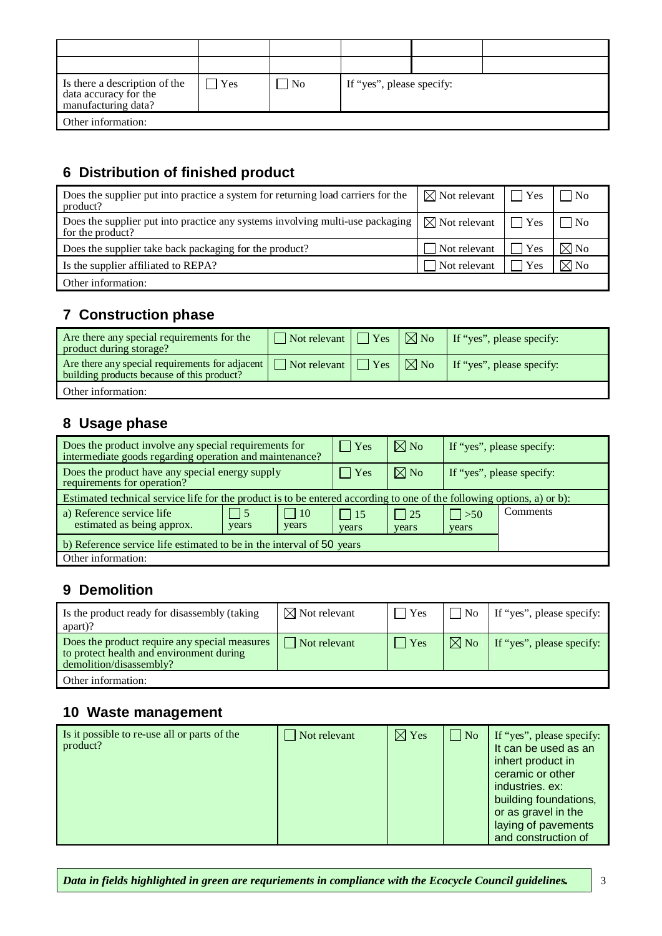| Is there a description of the<br>data accuracy for the<br>manufacturing data? | Yes | ∣ No | If "yes", please specify: |  |  |  |
|-------------------------------------------------------------------------------|-----|------|---------------------------|--|--|--|
| Other information:                                                            |     |      |                           |  |  |  |

#### **6 Distribution of finished product**

| Does the supplier put into practice a system for returning load carriers for the<br>product?      | $\boxtimes$ Not relevant | $ $ $Y$ es   | $\vert$ $\vert$ No |
|---------------------------------------------------------------------------------------------------|--------------------------|--------------|--------------------|
| Does the supplier put into practice any systems involving multi-use packaging<br>for the product? | $\boxtimes$ Not relevant | $\Gamma$ Yes | $\vert$ $\vert$ No |
| Does the supplier take back packaging for the product?                                            | Not relevant             | Yes          | $\boxtimes$ No     |
| Is the supplier affiliated to REPA?                                                               | Not relevant             | Yes          | $\boxtimes$ No     |
| Other information:                                                                                |                          |              |                    |

## **7 Construction phase**

| Are there any special requirements for the<br>product during storage?                         | $\Box$ Not relevant $\Box$ Yes | $\nabla$ No    | If "yes", please specify: |
|-----------------------------------------------------------------------------------------------|--------------------------------|----------------|---------------------------|
| Are there any special requirements for adjacent<br>building products because of this product? | $\Box$ Not relevant $\Box$ Yes | $\boxtimes$ No | If "yes", please specify: |
| Other information:                                                                            |                                |                |                           |

### **8 Usage phase**

| Does the product involve any special requirements for<br>intermediate goods regarding operation and maintenance?       | $\vert$ Yes         | $\boxtimes$ No        | If "yes", please specify: |          |  |
|------------------------------------------------------------------------------------------------------------------------|---------------------|-----------------------|---------------------------|----------|--|
| Does the product have any special energy supply<br>requirements for operation?                                         | Yes                 | $\boxtimes$ No        | If "yes", please specify: |          |  |
| Estimated technical service life for the product is to be entered according to one of the following options, a) or b): |                     |                       |                           |          |  |
| $\vert$   10<br>a) Reference service life<br>$\vert$ 5<br>estimated as being approx.<br>years<br>years                 | $\vert$ 15<br>years | $\vert$   25<br>years | $ $ > 50<br>years         | Comments |  |
| b) Reference service life estimated to be in the interval of 50 years                                                  |                     |                       |                           |          |  |
| Other information:                                                                                                     |                     |                       |                           |          |  |

## **9 Demolition**

| Is the product ready for disassembly (taking<br>$apart$ ?                                                            | $\boxtimes$ Not relevant | <b>Yes</b>    | N <sub>0</sub> | If "yes", please specify: |
|----------------------------------------------------------------------------------------------------------------------|--------------------------|---------------|----------------|---------------------------|
| Does the product require any special measures<br>to protect health and environment during<br>demolition/disassembly? | $\vert$ Not relevant     | $\exists$ Yes | $\boxtimes$ No | If "yes", please specify: |
| Other information:                                                                                                   |                          |               |                |                           |

### **10 Waste management**

| Is it possible to re-use all or parts of the<br>product? | $\Box$ Not relevant | $\boxtimes$ Yes | $\Box$ No | If "yes", please specify:<br>It can be used as an<br>inhert product in<br>ceramic or other<br>industries, ex:<br>building foundations,<br>or as gravel in the<br>laying of pavements<br>and construction of |
|----------------------------------------------------------|---------------------|-----------------|-----------|-------------------------------------------------------------------------------------------------------------------------------------------------------------------------------------------------------------|
|----------------------------------------------------------|---------------------|-----------------|-----------|-------------------------------------------------------------------------------------------------------------------------------------------------------------------------------------------------------------|